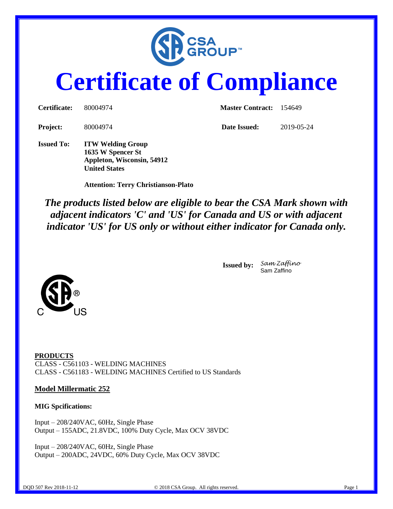

# **Certificate of Compliance**

| Certificate:      | 80004974                                                                    | <b>Master Contract:</b> 154649 |            |  |
|-------------------|-----------------------------------------------------------------------------|--------------------------------|------------|--|
| <b>Project:</b>   | 80004974                                                                    | Date Issued:                   | 2019-05-24 |  |
| <b>Issued To:</b> | <b>ITW Welding Group</b><br>1635 W Spencer St<br>Appleton, Wisconsin, 54912 |                                |            |  |

 **Attention: Terry Christianson-Plato**

**United States**

*The products listed below are eligible to bear the CSA Mark shown with adjacent indicators 'C' and 'US' for Canada and US or with adjacent indicator 'US' for US only or without either indicator for Canada only.*



**Issued by:** *Sam Zaffino* Sam Zaffino

**PRODUCTS** CLASS - C561103 - WELDING MACHINES CLASS - C561183 - WELDING MACHINES Certified to US Standards

#### **Model Millermatic 252**

#### **MIG Spcifications:**

Input – 208/240VAC, 60Hz, Single Phase Output – 155ADC, 21.8VDC, 100% Duty Cycle, Max OCV 38VDC

Input – 208/240VAC, 60Hz, Single Phase Output – 200ADC, 24VDC, 60% Duty Cycle, Max OCV 38VDC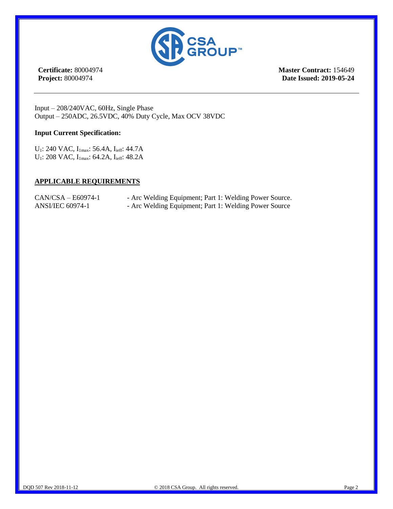

**Certificate:** 80004974 **Project:** 80004974

**Master Contract:** 154649 **Date Issued: 2019-05-24**

Input – 208/240VAC, 60Hz, Single Phase Output – 250ADC, 26.5VDC, 40% Duty Cycle, Max OCV 38VDC

#### **Input Current Specification:**

U<sub>1</sub>: 240 VAC, I<sub>1max</sub>: 56.4A, I<sub>ieff</sub>: 44.7A U<sub>1</sub>: 208 VAC, I<sub>1max</sub>: 64.2A, I<sub>ieff</sub>: 48.2A

#### **APPLICABLE REQUIREMENTS**

| $CAN/CSA - E60974-1$    | - Arc Welding Equipment; Part 1: Welding Power Source. |
|-------------------------|--------------------------------------------------------|
| <b>ANSI/IEC 60974-1</b> | - Arc Welding Equipment; Part 1: Welding Power Source  |